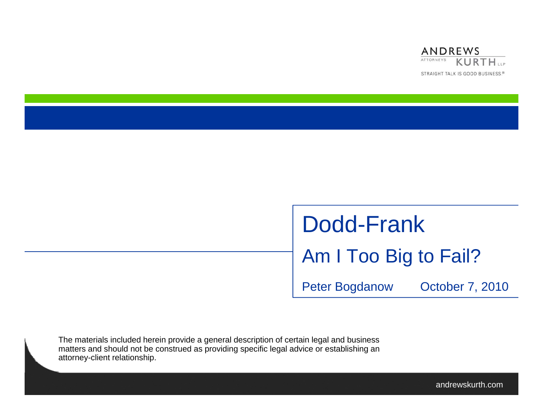

# Dodd-FrankAm I Too Big to Fail?

Peter Bogdanow October 7, 2010

The materials included herein provide a general description of certain legal and business matters and should not be construed as providing specific legal advice or establishing an attorney-client relationship.

andrewskurth.com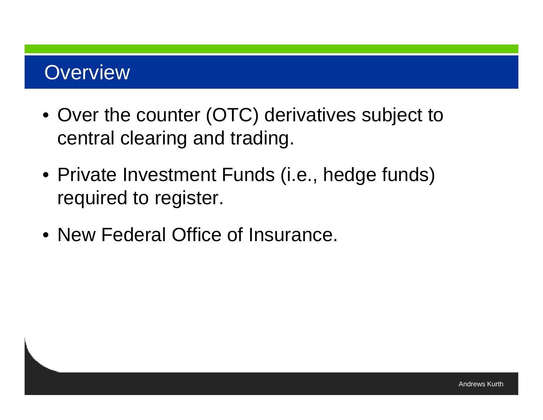#### **Overview**

- Over the counter (OTC) derivatives subject to central clearing and trading.
- Private Investment Funds (i.e., hedge funds) required to register.
- New Federal Office of Insurance.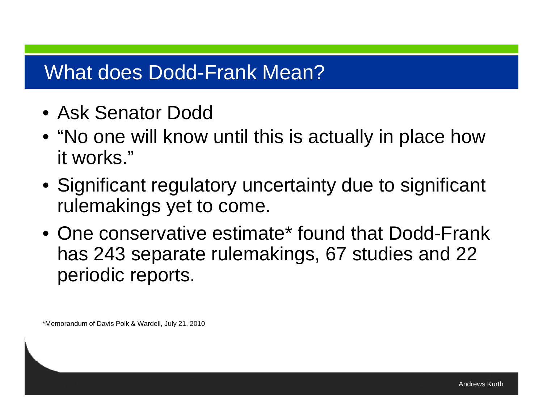#### What does Dodd-Frank Mean?

- Ask Senator Dodd
- $\bullet$  "No one will know until this is actually in place how it works."
- Significant regulatory uncertainty due to significant rulemakings yet to come.
- One conservative estimate\* found that Dodd-Frank has 243 separate rulemakings, 67 studies and 22 periodic reports.

\*Memorandum of Davis Polk & Wardell, July 21, 2010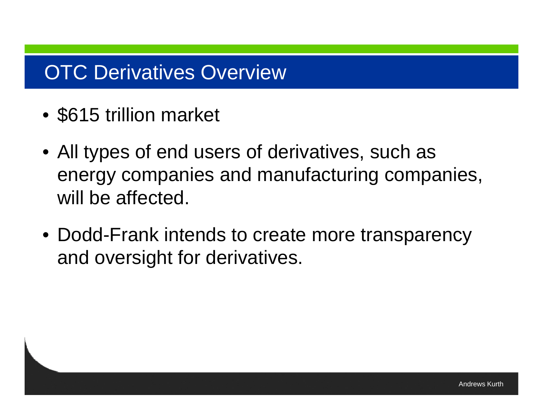## **OTC Derivatives Overview**

- \$615 trillion market
- All types of end users of derivatives, such as energy companies and manufacturing companies, will be affected.
- Dodd-Frank intends to create more transparency and oversight for derivatives.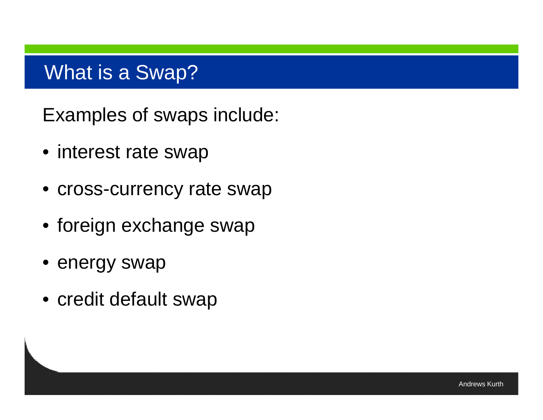#### What is <sup>a</sup> Swap?

Examples of swaps include:

- interest rate swap
- cross-currency rate swap
- foreign exchange swap
- energy swap
- credit default swap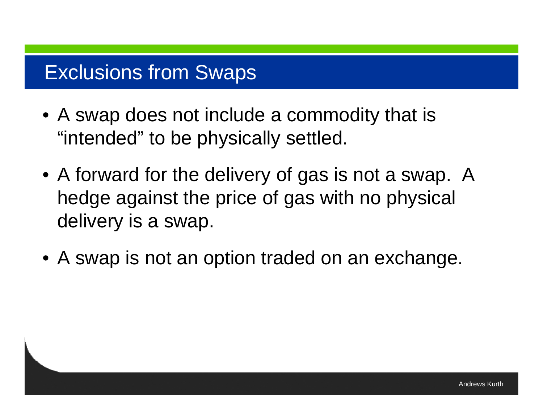## Exclusions from Swaps

- A swap does not include a commodity that is "intended" to be physically settled.
- A forward for the delivery of gas is not a swap. A hedge against the price of gas with no physical delivery is a swap.
- A swap is not an option traded on an exchange.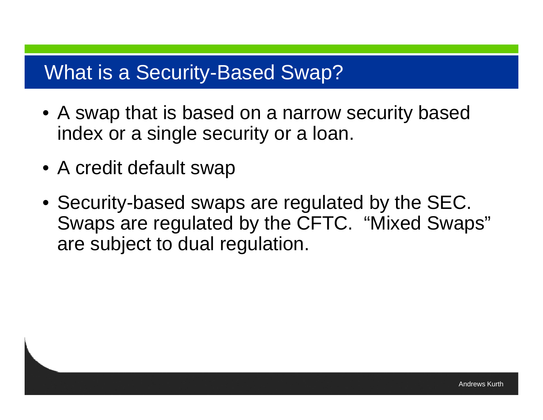#### What is a Security-Based Swap?

- A swap that is based on a narrow security based index or a single security or a loan.
- A credit default swap
- Security-based swaps are regulated by the SEC. Swaps are regulated by the CFTC. "Mixed Swaps" are subject to dual regulation.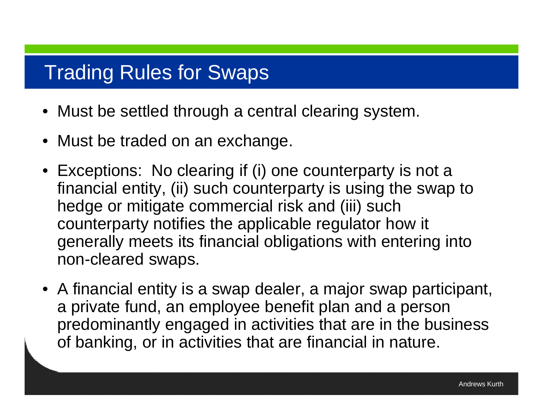#### Trading Rules for Swaps

- Must be settled through a central clearing system.
- Must be traded on an exchange.
- Exceptions: No clearing if (i) one counterparty is not a financial entity, (ii) such counterparty is using the swap to hedge or mitigate commercial risk and (iii) such counterparty notifies the applicable regulator how it generally meets its financial obligations with entering into non-cleared swaps.
- A financial entity is a swap dealer, a major swap participant, a private fund, an employee benefit plan and a person predominantly engaged in activities that are in the business of banking, or in activities that are financial in nature.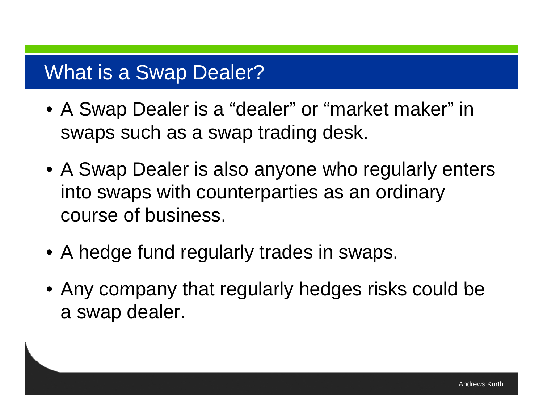#### What is <sup>a</sup> Swap Dealer?

- A Swap Dealer is a "dealer" or "market maker" in swaps such as a swap trading desk.
- A Swap Dealer is also anyone who regularly enters into swaps with counterparties as an ordinary course of business.
- A hedge fund regularly trades in swaps.
- Any company that regularly hedges risks could be a swap dealer.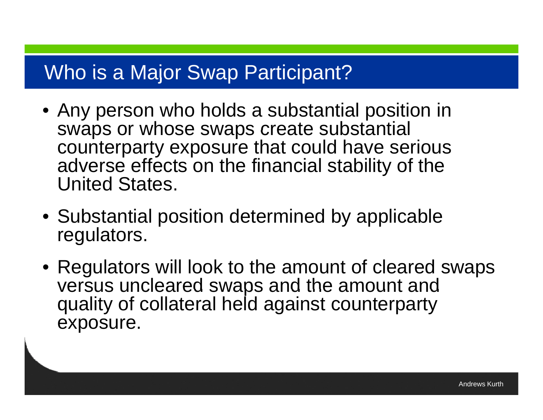#### Who is a Major Swap Participant?

- Any person who holds a substantial position in swaps or whose swaps create substantial counterparty exposure that could have serious adverse effects on the financial stability of the United States.
- Substantial position determined by applicable regulators.
- Regulators will look to the amount of cleared swaps versus uncleared swaps and the amount and quality of collateral held against counterparty exposure.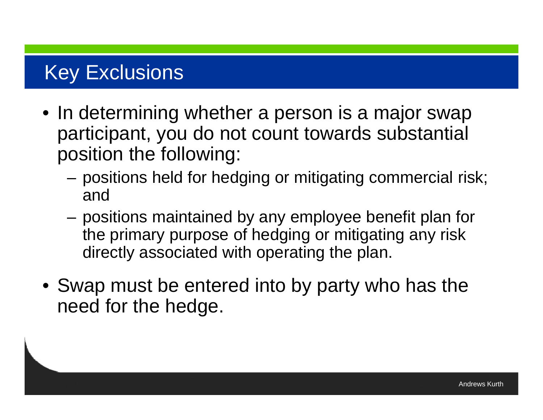## Key Exclusions

- In determining whether a person is a major swap participant, you do not count towards substantial position the following:
	- $-$  positions held for hedging or mitigating commercial risk; and
	- positions maintained by any employee benefit plan for the primary purpose of hedging or mitigating any risk directly associated with operating the plan.
- Swap must be entered into by party who has the need for the hedge.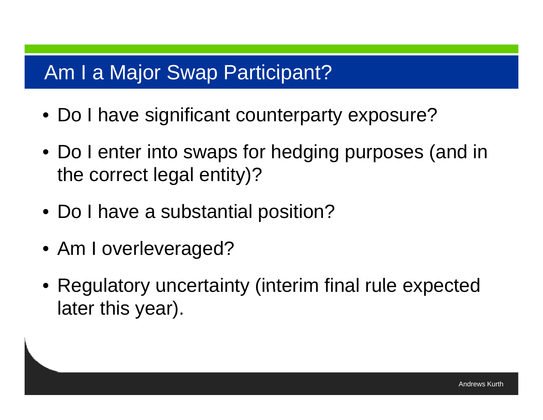#### Am I <sup>a</sup> Major Swap Participant?

- Do I have significant counterparty exposure?
- Do I enter into swaps for hedging purposes (and in the correct legal entity)?
- Do I have a substantial position?
- Am I overleveraged?
- Regulatory uncertainty (interim final rule expected later this year).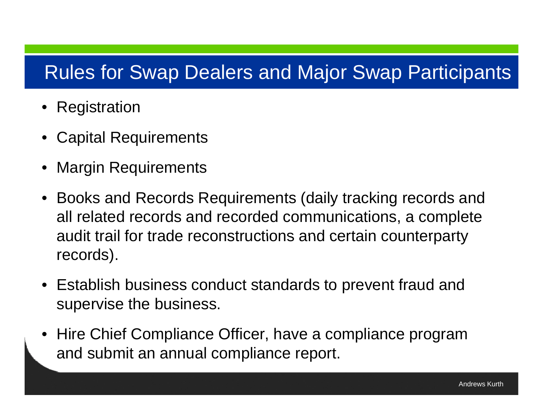#### Rules for Swap Dealers and Major Swap Participants

- •Registration
- •Capital Requirements
- •Margin Requirements
- • Books and Records Requirements (daily tracking records and all related records and recorded communications, a complete audit trail for trade reconstructions and certain counterparty records).
- $\bullet~$  Establish business conduct standards to prevent fraud and supervise the business.
- Hire Chief Compliance Officer, have a compliance program and submit an annual compliance report.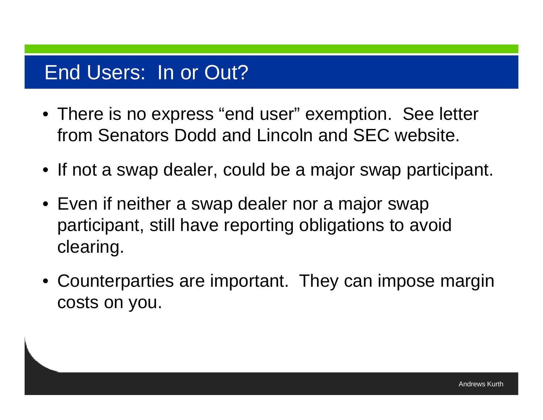#### End Users: In or Out?

- There is no express "end user" exemption. See letter from Senators Dodd and Lincoln and SEC website.
- If not a swap dealer, could be a major swap participant.
- Even if neither a swap dealer nor a major swap participant, still have reporting obligations to avoid clearing.
- Counterparties are important. They can impose margin costs on you.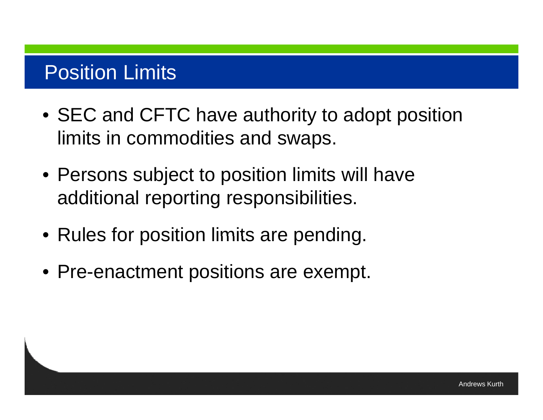## Position Limits

- SEC and CFTC have authority to adopt position limits in commodities and swaps.
- $\bullet$  Persons subject to position limits will have additional reporting responsibilities.
- Rules for position limits are pending.
- Pre-enactment positions are exempt.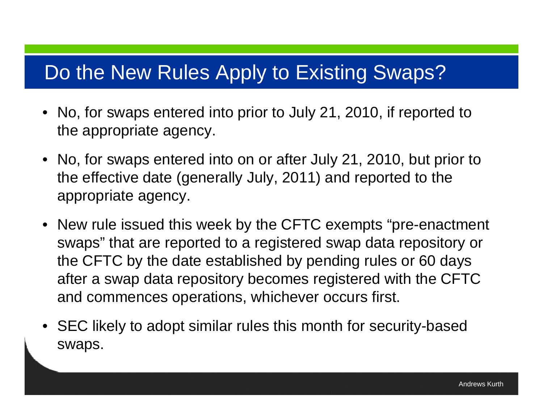#### Do the New Rules Apply to Existing Swaps?

- No, for swaps entered into prior to July 21, 2010, if reported to the appropriate agency.
- No, for swaps entered into on or after July 21, 2010, but prior to the effective date (generally July, 2011) and reported to the appropriate agency.
- New rule issued this week by the CFTC exempts "pre-enactment swaps" that are reported to a registered swap data repository or the CFTC by the date established by pending rules or 60 days after a swap data repository becomes registered with the CFTC and commences operations, whichever occurs first.
- SEC likely to adopt similar rules this month for security-based swaps .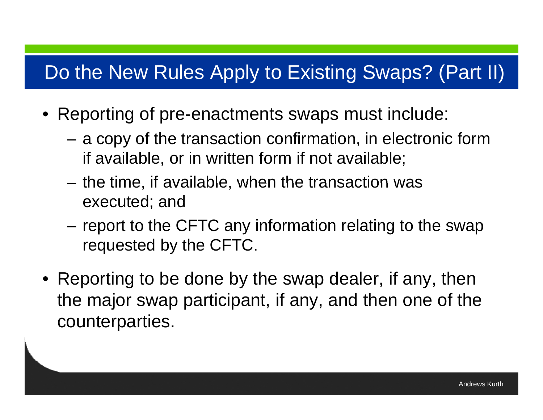#### Do the New Rules Apply to Existing Swaps? (Part II)

- Reporting of pre-enactments swaps must include:
	- – a copy of the transaction confirmation, in electronic form if available, or in written form if not available;
	- $-$  the time, if available, when the transaction was executed; and
	- – report to the CFTC any information relating to the swap requested by the CFTC.
- Reporting to be done by the swap dealer, if any, then the major swap participant, if any, and then one of the counterparties.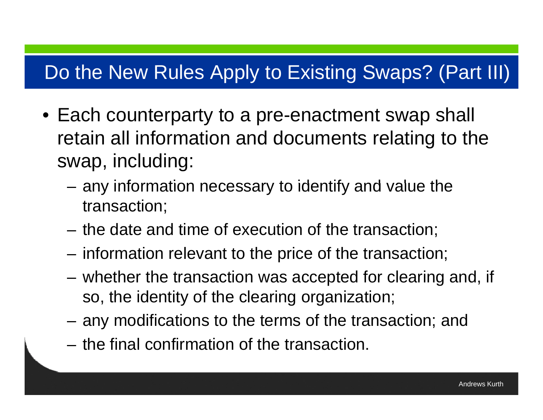#### Do the New Rules Apply to Existing Swaps? (Part III)

- Each counterparty to a pre-enactment swap shall retain all information and documents relating to the swap, including:
	- $-$  any information necessary to identify and value the transaction;
	- $-$  the date and time of execution of the transaction;
	- information relevant to the price of the transaction;
	- whether the transaction was accepted for clearing and, if so, the identity of the clearing organization;
	- any modifications to the terms of the transaction; and
	- $-$  the final confirmation of the transaction.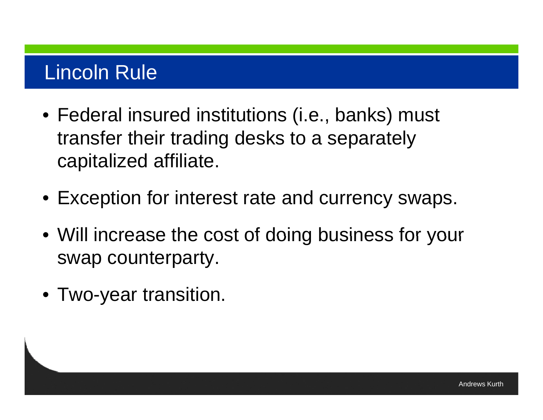#### Lincoln Rule

- Federal insured institutions (i.e., banks) must transfer their trading desks to a separately capitalized affiliate.
- Exception for interest rate and currency swaps.
- Will increase the cost of doing business for your swap counterparty.
- $\bullet$  Two-year transition.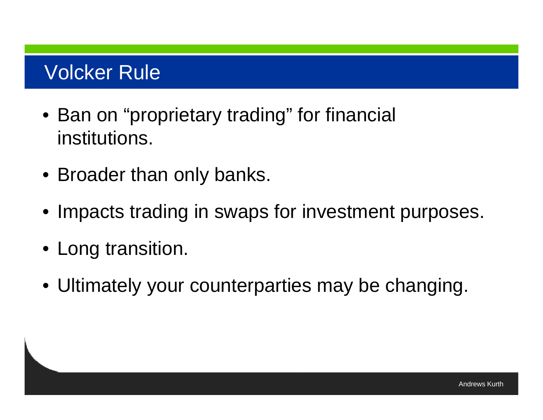### **Volcker Rule**

- Ban on "proprietary trading" for financial institutions.
- Broader than only banks.
- Impacts trading in swaps for investment purposes.
- Long transition.
- Ultimately your counterparties may be changing.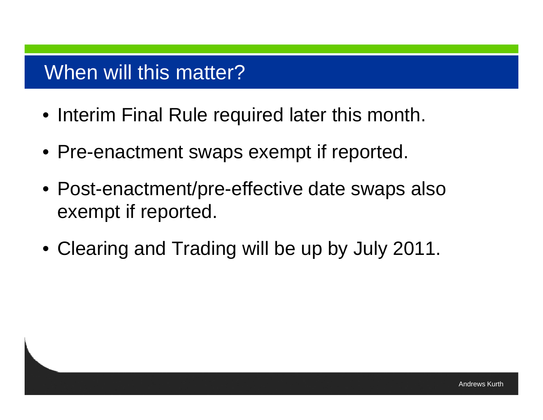#### When will this matter?

- Interim Final Rule required later this month.
- Pre-enactment swaps exempt if reported.
- Post-enactment/pre-effective date swaps also exempt if reported.
- Clearing and Trading will be up by July 2011.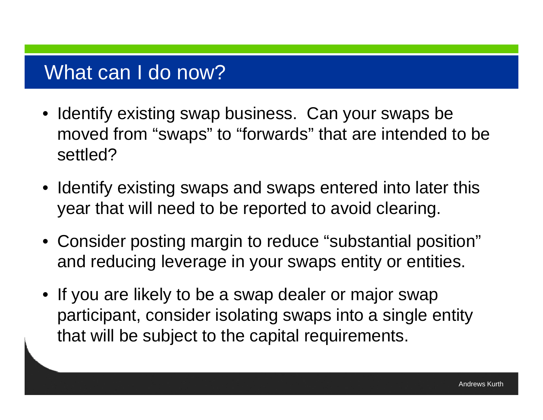#### What can I do now?

- Identify existing swap business. Can your swaps be moved from "swaps" to "forwards" that are intended to be settled?
- Identify existing swaps and swaps entered into later this year that will need to be reported to avoid clearing.
- Consider posting margin to reduce "substantial position" and reducing leverage in your swaps entity or entities.
- If you are likely to be a swap dealer or major swap participant, consider isolating swaps into a single entity that will be subject to the capital requirements.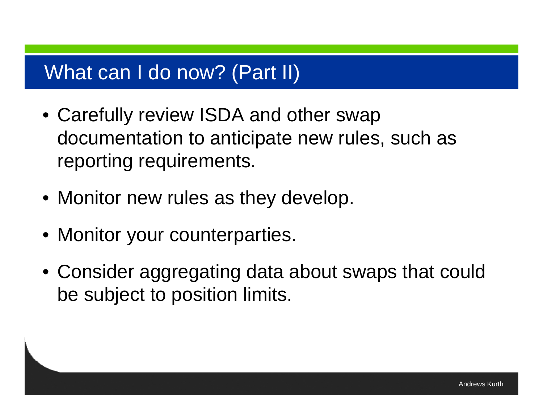#### What can I do now? (Part II)

- Carefully review ISDA and other swap documentation to anticipate new rules, such as reporting requirements.
- Monitor new rules as they develop.
- Monitor your counterparties.
- Consider aggregating data about swaps that could be subject to position limits.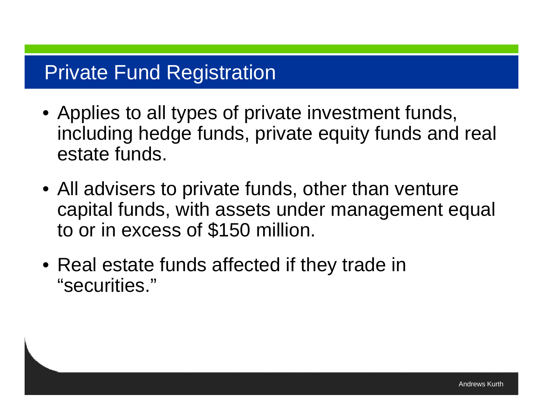#### **Private Fund Registration**

- Applies to all types of private investment funds, including hedge funds, private equity funds and real estate funds.
- All advisers to private funds, other than venture capital funds, with assets under management equal to or in excess of \$150 million.
- Real estate funds affected if they trade in "securities. "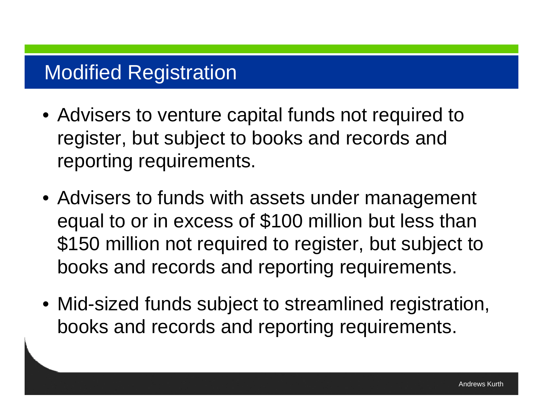### Modified Registration

- Advisers to venture capital funds not required to register, but subject to books and records and reporting requirements.
- Advisers to funds with assets under management equal to or in excess of \$100 million but less than \$150 million not required to register, but subject to books and records and reporting requirements.
- Mid-sized funds subject to streamlined registration, books and records and reporting requirements.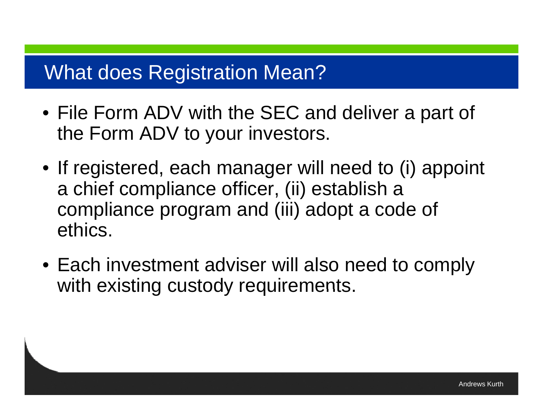#### What does Registration Mean?

- File Form ADV with the SEC and deliver a part of the Form ADV to your investors.
- If registered, each manager will need to (i) appoint a chief compliance officer, (ii) establish a compliance program and (iii) adopt a code of ethics.
- Each investment adviser will also need to comply with existing custody requirements.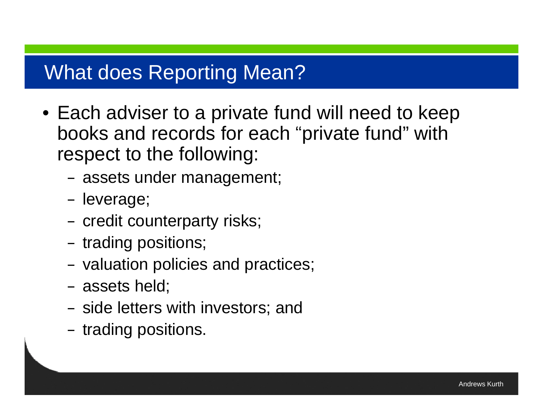#### What does Reporting Mean?

- Each adviser to a private fund will need to keep books and records for each "private fund" with respect to the following:
	- assets under management;
	- –– leverage;
	- –- credit counterparty risks;
	- – $-$  trading positions;
	- –– valuation policies and practices;
	- –assets held;
	- – $-$  side letters with investors; and
	- – $-$  trading positions.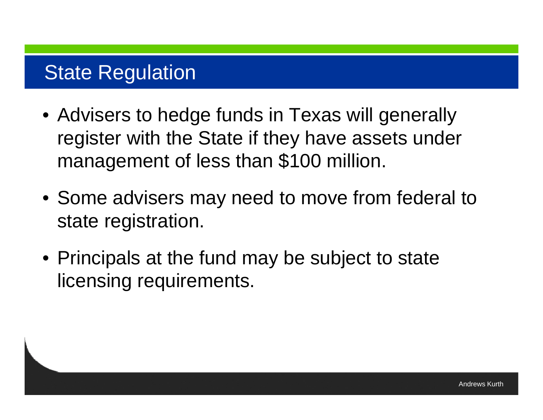#### **State Regulation**

- Advisers to hedge funds in Texas will generally register with the State if they have assets under management of less than \$100 million.
- Some advisers may need to move from federal to state registration.
- Principals at the fund may be subject to state licensing requirements.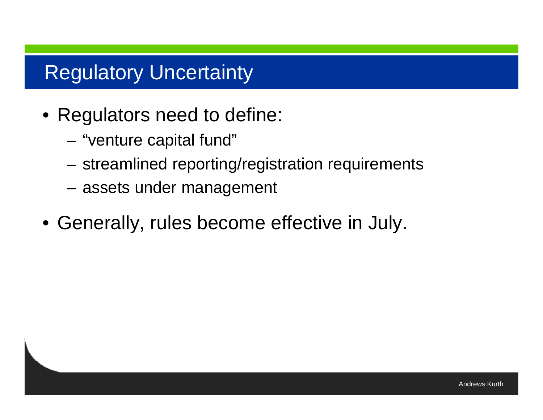#### Regulatory Uncertainty

- Regulators need to define:
	- –"venture capital fund"
	- streamlined reporting/registration requirements
	- assets under management
- Generally, rules become effective in July.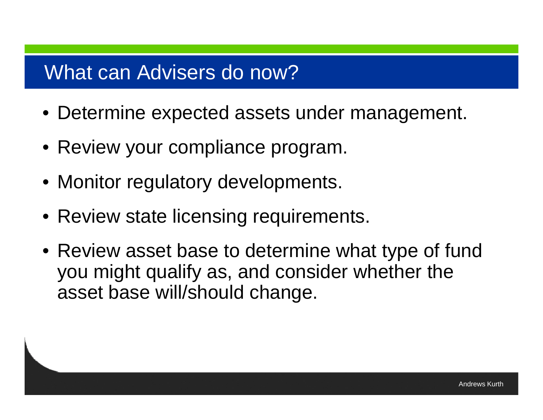#### What can Advisers do now?

- Determine expected assets under management.
- Review your compliance program.
- Monitor regulatory developments.
- Review state licensing requirements.
- Review asset base to determine what type of fund you might qualify as, and consider whether the asset base will/should change.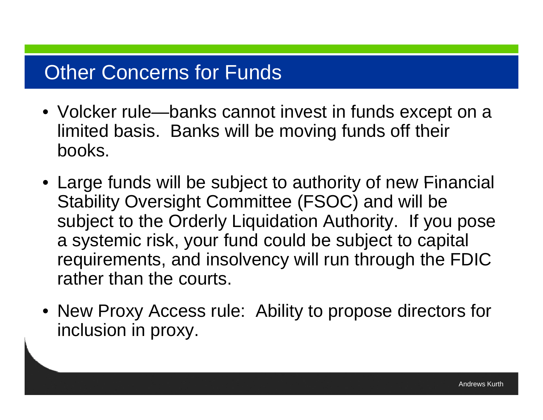#### **Other Concerns for Funds**

- Volcker rule—banks cannot invest in funds except on a limited basis. Banks will be moving funds off their books.
- Large funds will be subject to authority of new Financial Stability Oversight Committee (FSOC) and will be subject to the Orderly Liquidation Authority. If you pose a systemic risk, your fund could be subject to capital requirements, and insolvency will run through the FDIC rather than the courts.
- New Proxy Access rule: Ability to propose directors for inclusion in proxy.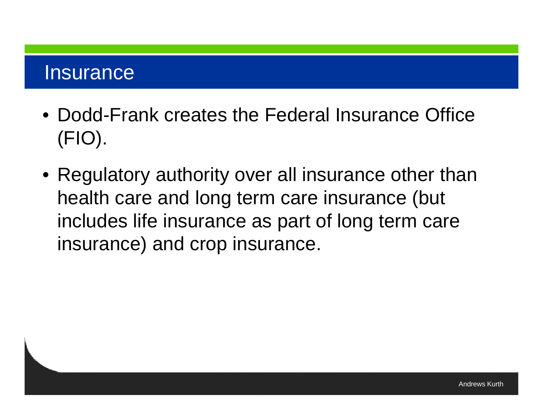#### Insurance

- Dodd-Frank creates the Federal Insurance Office (FIO).
- $\bullet$  Regulatory authority over all insurance other than health care and long term care insurance (but includes life insurance as part of long term care insurance) and crop insurance.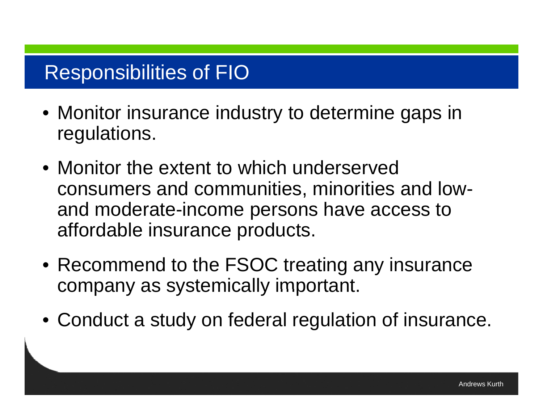### Responsibilities of FIO

- Monitor insurance industry to determine gaps in regulations.
- Monitor the extent to which underserved consumers and communities, minorities and lowand moderate-income persons have access to affordable insurance products.
- Recommend to the FSOC treating any insurance company as systemically important.
- Conduct a study on federal regulation of insurance.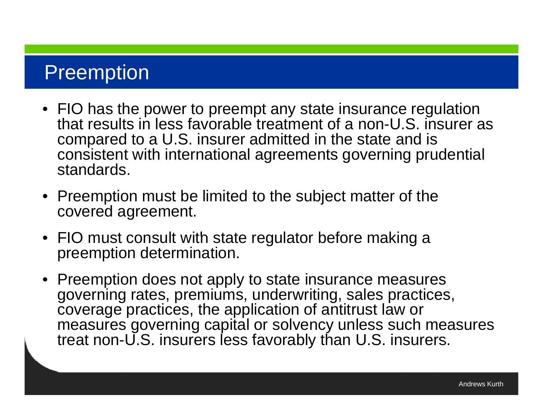#### Preemption

- FIO has the power to preempt any state insurance regulation that results in less favorable treatment of a non-U.S. insurer as compared to a U.S. insurer admitted in the state and is consistent with international agreements governing prudential standards.
- Preemption must be limited to the subject matter of the covered agreement.
- $\bullet\,$  FIO must consult with state regulator before making a preemption determination.
- Preemption does not apply to state insurance measures governing rates, premiums, underwriting, sales practices, coverage practices, the application of antitrust law or measures governing capital or solvency unless such measures treat non-U.S. insurers less favorably than U.S. insurers.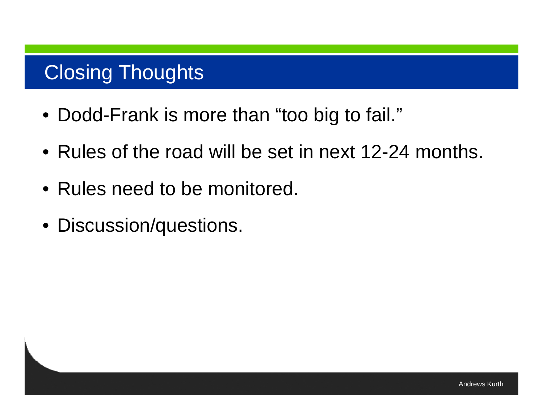## Closing Thoughts

- Dodd-Frank is more than "too big to fail."
- Rules of the road will be set in next 12-24 months.
- Rules need to be monitored.
- Discussion/questions.